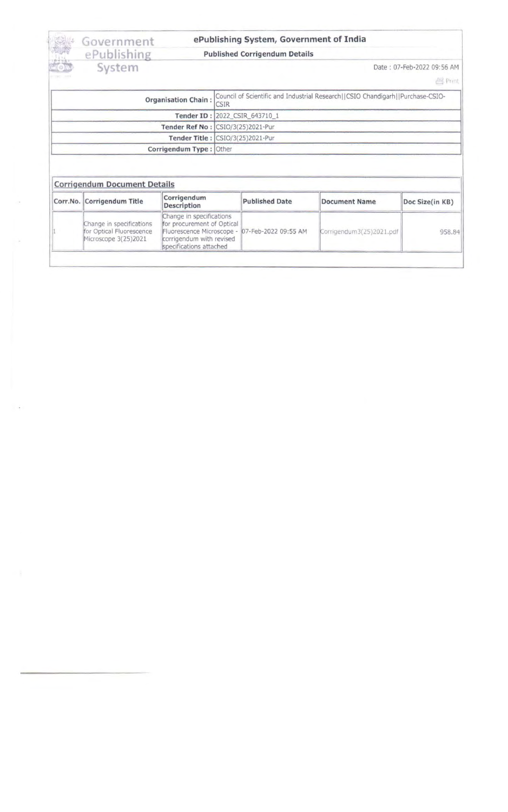# EPublishing Published Corrigendum Details<br>EPublishing Published Corrigendum Details<br>System Date : 07-Feb-2022 09:56 AM

## Government ePublishing System, Government of India<br>ePublishing Published Corrigendum Details

- -

| <b>Organisation Chain:</b> | Council of Scientific and Industrial Research  CSIO Chandigarh  Purchase-CSIO-<br><b>CSIR</b> |
|----------------------------|-----------------------------------------------------------------------------------------------|
|                            | Tender ID: 2022 CSIR 643710 1                                                                 |
|                            | Tender Ref No : CSIO/3(25)2021-Pur                                                            |
|                            | Tender Title : CSIO/3(25)2021-Pur                                                             |
| Corrigendum Type: Other    |                                                                                               |

### Corrigendum Document Details

| Corr.No. Corrigendum Title                                                   | Corrigendum<br>Description                                                                                                                                      | <b>Published Date</b> | Document Name            | Doc Size(in KB) |
|------------------------------------------------------------------------------|-----------------------------------------------------------------------------------------------------------------------------------------------------------------|-----------------------|--------------------------|-----------------|
| Change in specifications<br>for Optical Fluorescence<br>Microscope 3(25)2021 | Change in specifications<br>for procurement of Optical<br>Fluorescence Microscope - 07-Feb-2022 09:55 AM<br>corrigendum with revised<br>specifications attached |                       | Corrigendum3(25)2021.pdf | 958.84          |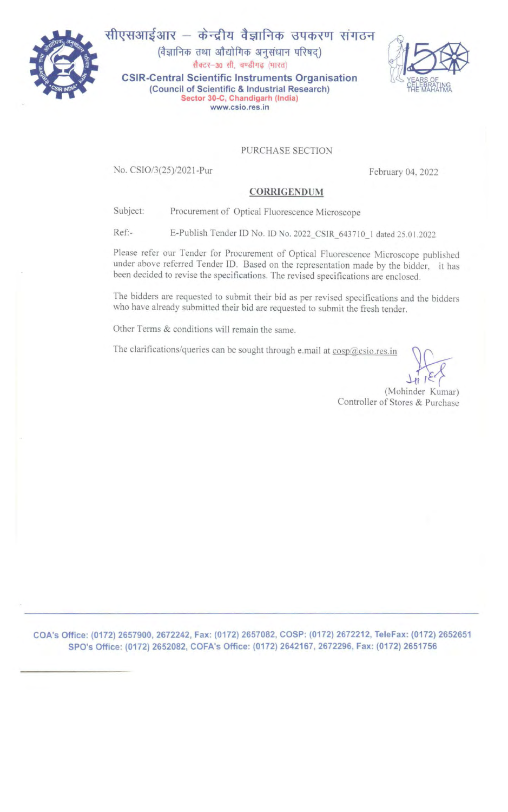

सीएसआईआर - केन्द्रीय वैज्ञानिक उपकरण संगठन (वैज्ञानिक तथा औद्योगिक अनुसंधान परिषद्) सैक्टर-30 सी, चण्डीगढ़ (भारत) CSIR-Central Scientific Instruments Organisation (Council of Scientific & Industrial Research) Sector 30-C. Chandigarh (India) www.csio.res.in



#### PURCHASE SECTION

No. CSI0/3(25)/2021-Pur February 04, 2022

#### CORRIGENDUM

Subject: Procurement of Optical Fluorescence Microscope

Ref:- E-Publish Tender ID No. ID No. 2022\_CSIR\_643710\_1 dated 25.01.2022

Please refer our Tender for Procurement of Optical Fluorescence Microscope published under above referred Tender ID. Based on the representation made by the bidder, it has been decided to revise the specifications. The revised specifications are enclosed.

The bidders are requested to submit their bid as per revised specifications and the bidders who have already submitted their bid are requested to submit the fresh tender.

Other Terms & conditions will remain the same.

The clarifications/queries can be sought through e.mail at cosp@csio.res.in

 $H_1$   $K$   $K$ <br>(Mohinder Kumar)

Controller of Stores & Purchase

COA's Office: (0172) 2657900, 2672242, Fax: (0172) 2657082, COSP: (0172) 2672212, TeleFax: (0172) 2652651 SPO's Office: (0172) 2652082, COFA's Office: (0172) 2642167, 2672296, Fax: (0172) 2651756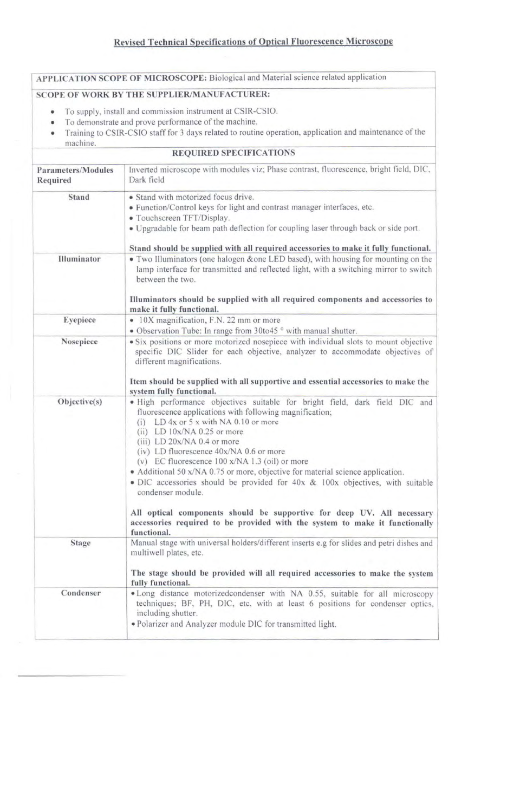APPLICATION SCOPE OF MICROSCOPE: Biological and Material science related application

#### SCOPE OF WORK BY THE SUPPLIER/MANUFACTURER:

- To supply, install and commission instrument at CSIR-CSIO.
- To demonstrate and prove performance of the machine.
- Training to CSIR-CSIO staff for 3 days related to routine operation, application and maintenance of the
- machine.

#### REQUIRED SPECIFICATIONS

| <b>Parameters/Modules</b><br>Required | Inverted microscope with modules viz; Phase contrast, fluorescence, bright field, DIC,<br>Dark field                                                                                                                                                                                                                                                                                                                                                                                                                                                                                                                                                                                                                      |  |  |  |
|---------------------------------------|---------------------------------------------------------------------------------------------------------------------------------------------------------------------------------------------------------------------------------------------------------------------------------------------------------------------------------------------------------------------------------------------------------------------------------------------------------------------------------------------------------------------------------------------------------------------------------------------------------------------------------------------------------------------------------------------------------------------------|--|--|--|
| Stand                                 | • Stand with motorized focus drive.<br>• Function/Control keys for light and contrast manager interfaces, etc.<br>• Touchscreen TFT/Display.<br>. Upgradable for beam path deflection for coupling laser through back or side port.<br>Stand should be supplied with all required accessories to make it fully functional.                                                                                                                                                                                                                                                                                                                                                                                                |  |  |  |
| Illuminator                           | • Two Illuminators (one halogen & one LED based), with housing for mounting on the<br>lamp interface for transmitted and reflected light, with a switching mirror to switch<br>between the two.<br>Illuminators should be supplied with all required components and accessories to<br>make it fully functional.                                                                                                                                                                                                                                                                                                                                                                                                           |  |  |  |
| Eyepiece                              | • 10X magnification, F.N. 22 mm or more<br>• Observation Tube: In range from 30to45 ° with manual shutter.                                                                                                                                                                                                                                                                                                                                                                                                                                                                                                                                                                                                                |  |  |  |
| Nosepiece                             | • Six positions or more motorized nosepiece with individual slots to mount objective<br>specific DIC Slider for each objective, analyzer to accommodate objectives of<br>different magnifications.<br>Item should be supplied with all supportive and essential accessories to make the<br>system fully functional.                                                                                                                                                                                                                                                                                                                                                                                                       |  |  |  |
| Objective(s)                          | . High performance objectives suitable for bright field, dark field DIC and<br>fluorescence applications with following magnification;<br>(i) LD $4x$ or $5x$ with NA 0.10 or more<br>$(ii)$ LD $10x/NA$ 0.25 or more<br>$(iii)$ LD $20x/NA$ 0.4 or more<br>(iv) LD fluorescence $40x/NA$ 0.6 or more<br>(v) EC fluorescence $100 x/NA$ 1.3 (oil) or more<br>• Additional 50 x/NA 0.75 or more, objective for material science application.<br>· DIC accessories should be provided for 40x & 100x objectives, with suitable<br>condenser module.<br>All optical components should be supportive for deep UV. All necessary<br>accessories required to be provided with the system to make it functionally<br>functional. |  |  |  |
| <b>Stage</b>                          | Manual stage with universal holders/different inserts e.g for slides and petri dishes and<br>multiwell plates, etc.<br>The stage should be provided will all required accessories to make the system<br>fully functional.                                                                                                                                                                                                                                                                                                                                                                                                                                                                                                 |  |  |  |
| Condenser                             | • Long distance motorizedcondenser with NA 0.55, suitable for all microscopy<br>techniques; BF, PH, DIC, etc, with at least 6 positions for condenser optics,<br>including shutter.<br>. Polarizer and Analyzer module DIC for transmitted light.                                                                                                                                                                                                                                                                                                                                                                                                                                                                         |  |  |  |